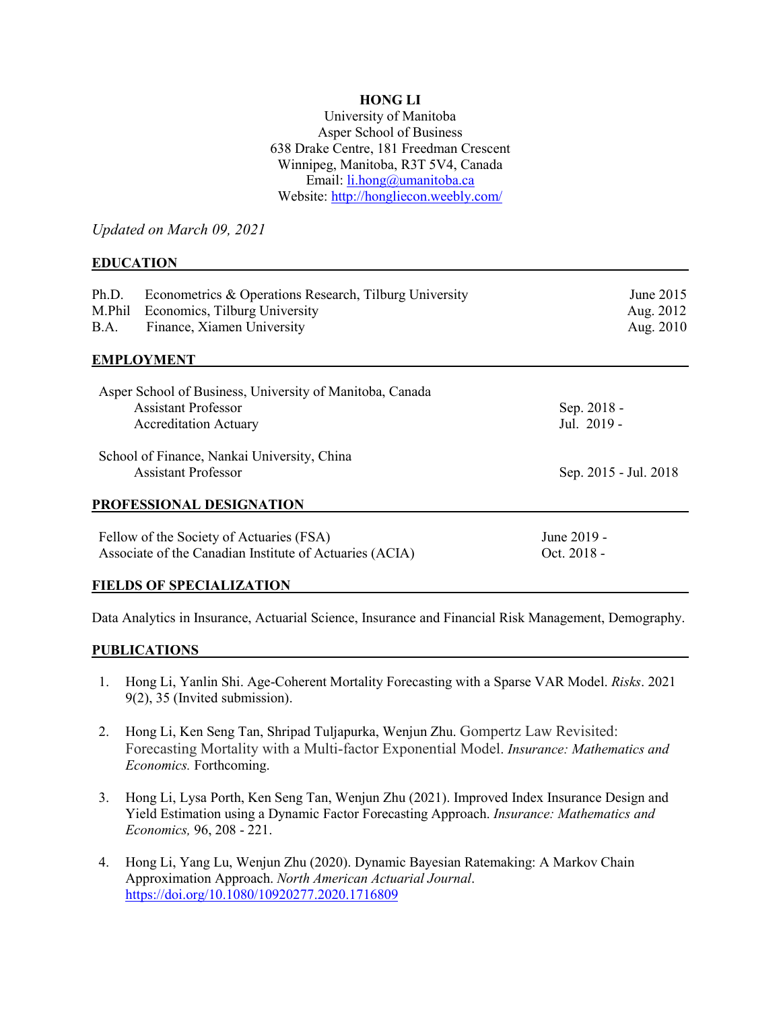## **HONG LI**

University of Manitoba Asper School of Business 638 Drake Centre, 181 Freedman Crescent Winnipeg, Manitoba, R3T 5V4, Canada Email: [li.hong@umanitoba.ca](mailto:li.hong@umanitoba.ca) Website[: http://hongliecon.weebly.com/](http://hongliecon.weebly.com/)

*Updated on March 09, 2021*

### **EDUCATION**

| Econometrics & Operations Research, Tilburg University<br>Ph.D.<br>Economics, Tilburg University<br>M.Phil<br>Finance, Xiamen University<br>B.A. | June 2015<br>Aug. 2012<br>Aug. 2010 |  |  |
|--------------------------------------------------------------------------------------------------------------------------------------------------|-------------------------------------|--|--|
| <b>EMPLOYMENT</b>                                                                                                                                |                                     |  |  |
| Asper School of Business, University of Manitoba, Canada<br><b>Assistant Professor</b><br><b>Accreditation Actuary</b>                           | Sep. 2018 -<br>Jul. 2019 -          |  |  |
| School of Finance, Nankai University, China<br><b>Assistant Professor</b>                                                                        | Sep. 2015 - Jul. 2018               |  |  |
| PROFESSIONAL DESIGNATION                                                                                                                         |                                     |  |  |
| Fellow of the Society of Actuaries (FSA)<br>Associate of the Canadian Institute of Actuaries (ACIA)                                              | June 2019 -<br>Oct. 2018 -          |  |  |
| <b>FIELDS OF SPECIALIZATION</b>                                                                                                                  |                                     |  |  |

Data Analytics in Insurance, Actuarial Science, Insurance and Financial Risk Management, Demography.

#### **PUBLICATIONS**

- 1. Hong Li, Yanlin Shi. Age-Coherent Mortality Forecasting with a Sparse VAR Model. *Risks*. 2021 9(2), 35 (Invited submission).
- 2. Hong Li, Ken Seng Tan, Shripad Tuljapurka, Wenjun Zhu. Gompertz Law Revisited: Forecasting Mortality with a Multi-factor Exponential Model. *Insurance: Mathematics and Economics.* Forthcoming.
- 3. Hong Li, Lysa Porth, Ken Seng Tan, Wenjun Zhu (2021). Improved Index Insurance Design and Yield Estimation using a Dynamic Factor Forecasting Approach. *Insurance: Mathematics and Economics,* 96, 208 - 221.
- 4. Hong Li, Yang Lu, Wenjun Zhu (2020). Dynamic Bayesian Ratemaking: A Markov Chain Approximation Approach. *North American Actuarial Journal*. <https://doi.org/10.1080/10920277.2020.1716809>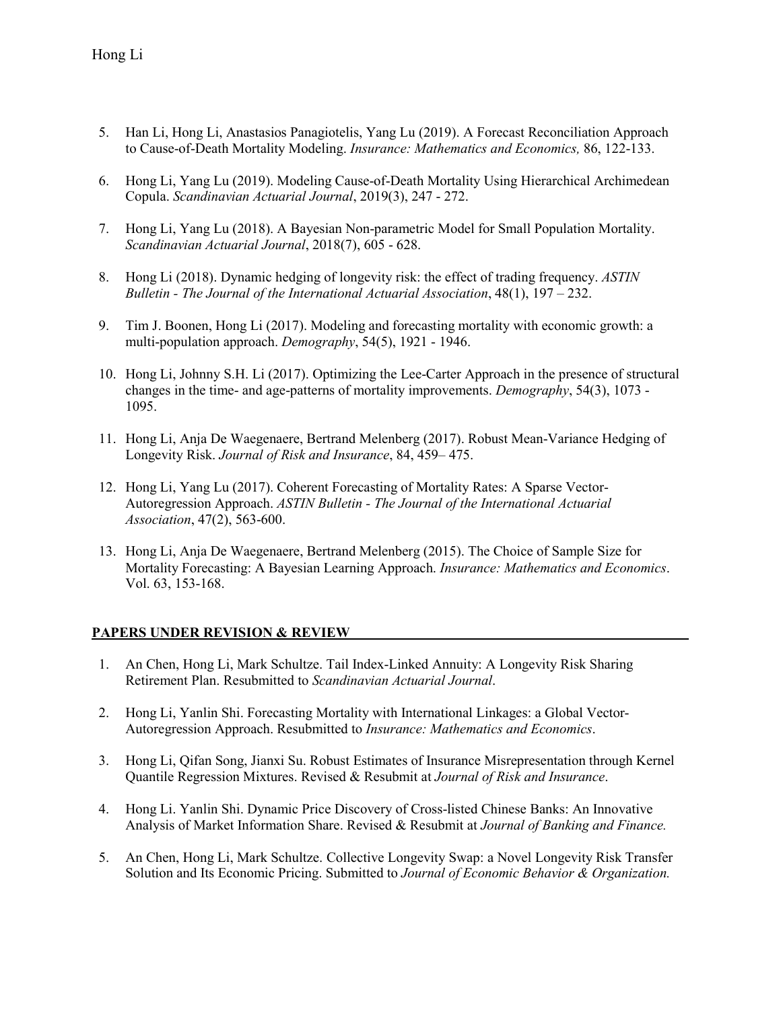- 5. Han Li, Hong Li, Anastasios Panagiotelis, Yang Lu (2019). A Forecast Reconciliation Approach to Cause-of-Death Mortality Modeling. *Insurance: Mathematics and Economics,* 86, 122-133.
- 6. Hong Li, Yang Lu (2019). Modeling Cause-of-Death Mortality Using Hierarchical Archimedean Copula. *Scandinavian Actuarial Journal*, 2019(3), 247 - 272.
- 7. Hong Li, Yang Lu (2018). A Bayesian Non-parametric Model for Small Population Mortality. *Scandinavian Actuarial Journal*, 2018(7), 605 - 628.
- 8. Hong Li (2018). Dynamic hedging of longevity risk: the effect of trading frequency. *ASTIN Bulletin - The Journal of the International Actuarial Association*, 48(1), 197 – 232.
- 9. Tim J. Boonen, Hong Li (2017). Modeling and forecasting mortality with economic growth: a multi-population approach. *Demography*, 54(5), 1921 - 1946.
- 10. Hong Li, Johnny S.H. Li (2017). Optimizing the Lee-Carter Approach in the presence of structural changes in the time- and age-patterns of mortality improvements. *Demography*, 54(3), 1073 - 1095.
- 11. Hong Li, Anja De Waegenaere, Bertrand Melenberg (2017). Robust Mean-Variance Hedging of Longevity Risk. *Journal of Risk and Insurance*, 84, 459– 475.
- 12. Hong Li, Yang Lu (2017). Coherent Forecasting of Mortality Rates: A Sparse Vector-Autoregression Approach. *ASTIN Bulletin - The Journal of the International Actuarial Association*, 47(2), 563-600.
- 13. Hong Li, Anja De Waegenaere, Bertrand Melenberg (2015). The Choice of Sample Size for Mortality Forecasting: A Bayesian Learning Approach. *Insurance: Mathematics and Economics*. Vol. 63, 153-168.

### **PAPERS UNDER REVISION & REVIEW**

- 1. An Chen, Hong Li, Mark Schultze. Tail Index-Linked Annuity: A Longevity Risk Sharing Retirement Plan. Resubmitted to *Scandinavian Actuarial Journal*.
- 2. Hong Li, Yanlin Shi. Forecasting Mortality with International Linkages: a Global Vector-Autoregression Approach. Resubmitted to *Insurance: Mathematics and Economics*.
- 3. Hong Li, Qifan Song, Jianxi Su. Robust Estimates of Insurance Misrepresentation through Kernel Quantile Regression Mixtures. Revised & Resubmit at *Journal of Risk and Insurance*.
- 4. Hong Li. Yanlin Shi. Dynamic Price Discovery of Cross-listed Chinese Banks: An Innovative Analysis of Market Information Share. Revised & Resubmit at *Journal of Banking and Finance.*
- 5. An Chen, Hong Li, Mark Schultze. [Collective Longevity Swap: a Novel Longevity Risk Transfer](javascript:void(0))  [Solution and Its Economic Pricing.](javascript:void(0)) Submitted to *Journal of Economic Behavior & Organization.*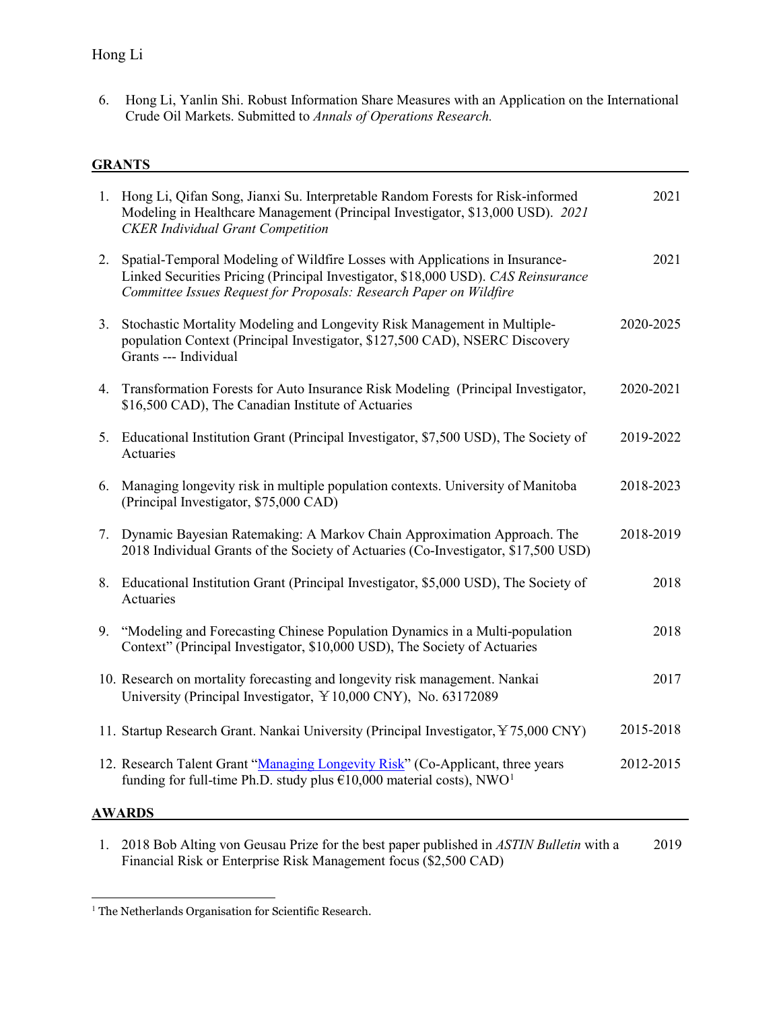6. Hong Li, Yanlin Shi. Robust Information Share Measures with an Application on the International Crude Oil Markets. Submitted to *Annals of Operations Research.*

# **GRANTS**

| 1. Hong Li, Qifan Song, Jianxi Su. Interpretable Random Forests for Risk-informed<br>Modeling in Healthcare Management (Principal Investigator, \$13,000 USD). 2021<br><b>CKER</b> Individual Grant Competition                            |  | 2021      |
|--------------------------------------------------------------------------------------------------------------------------------------------------------------------------------------------------------------------------------------------|--|-----------|
| 2. Spatial-Temporal Modeling of Wildfire Losses with Applications in Insurance-<br>Linked Securities Pricing (Principal Investigator, \$18,000 USD). CAS Reinsurance<br>Committee Issues Request for Proposals: Research Paper on Wildfire |  | 2021      |
| Stochastic Mortality Modeling and Longevity Risk Management in Multiple-<br>3.<br>population Context (Principal Investigator, \$127,500 CAD), NSERC Discovery<br>Grants --- Individual                                                     |  | 2020-2025 |
| Transformation Forests for Auto Insurance Risk Modeling (Principal Investigator,<br>4.<br>\$16,500 CAD), The Canadian Institute of Actuaries                                                                                               |  | 2020-2021 |
| 5. Educational Institution Grant (Principal Investigator, \$7,500 USD), The Society of<br>Actuaries                                                                                                                                        |  | 2019-2022 |
| Managing longevity risk in multiple population contexts. University of Manitoba<br>6.<br>(Principal Investigator, \$75,000 CAD)                                                                                                            |  | 2018-2023 |
| 7. Dynamic Bayesian Ratemaking: A Markov Chain Approximation Approach. The<br>2018 Individual Grants of the Society of Actuaries (Co-Investigator, \$17,500 USD)                                                                           |  | 2018-2019 |
| 8. Educational Institution Grant (Principal Investigator, \$5,000 USD), The Society of<br>Actuaries                                                                                                                                        |  | 2018      |
| "Modeling and Forecasting Chinese Population Dynamics in a Multi-population<br>9.<br>Context" (Principal Investigator, \$10,000 USD), The Society of Actuaries                                                                             |  | 2018      |
| 10. Research on mortality forecasting and longevity risk management. Nankai<br>University (Principal Investigator, ¥10,000 CNY), No. 63172089                                                                                              |  | 2017      |
| 11. Startup Research Grant. Nankai University (Principal Investigator, ¥75,000 CNY)                                                                                                                                                        |  | 2015-2018 |
| 12. Research Talent Grant "Managing Longevity Risk" (Co-Applicant, three years<br>funding for full-time Ph.D. study plus $£10,000$ material costs), NWO <sup>1</sup>                                                                       |  | 2012-2015 |
| <b>AWARDS</b>                                                                                                                                                                                                                              |  |           |

1. 2018 Bob Alting von Geusau Prize for the best paper published in *ASTIN Bulletin* with a Financial Risk or Enterprise Risk Management focus (\$2,500 CAD) 2019

<span id="page-2-0"></span> $^{\rm 1}$  The Netherlands Organisation for Scientific Research.